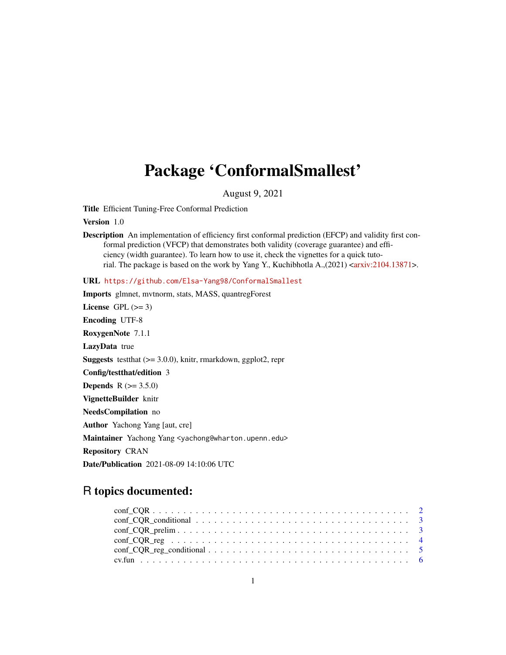# Package 'ConformalSmallest'

August 9, 2021

Title Efficient Tuning-Free Conformal Prediction

Version 1.0

Description An implementation of efficiency first conformal prediction (EFCP) and validity first conformal prediction (VFCP) that demonstrates both validity (coverage guarantee) and efficiency (width guarantee). To learn how to use it, check the vignettes for a quick tutorial. The package is based on the work by Yang Y., Kuchibhotla A., $(2021)$  [<arxiv:2104.13871>](https://arxiv.org/abs/2104.13871).

URL <https://github.com/Elsa-Yang98/ConformalSmallest> Imports glmnet, mvtnorm, stats, MASS, quantregForest License GPL  $(>= 3)$ Encoding UTF-8 RoxygenNote 7.1.1 LazyData true **Suggests** test that  $(>= 3.0.0)$ , knitr, rmarkdown, ggplot2, repr Config/testthat/edition 3 **Depends** R  $(>= 3.5.0)$ VignetteBuilder knitr NeedsCompilation no Author Yachong Yang [aut, cre] Maintainer Yachong Yang <yachong@wharton.upenn.edu> Repository CRAN Date/Publication 2021-08-09 14:10:06 UTC

# R topics documented:

| $conf\_COR\_conditional \dots \dots \dots \dots \dots \dots \dots \dots \dots \dots \dots \dots \dots \dots \dots$ |  |
|--------------------------------------------------------------------------------------------------------------------|--|
|                                                                                                                    |  |
|                                                                                                                    |  |
|                                                                                                                    |  |
|                                                                                                                    |  |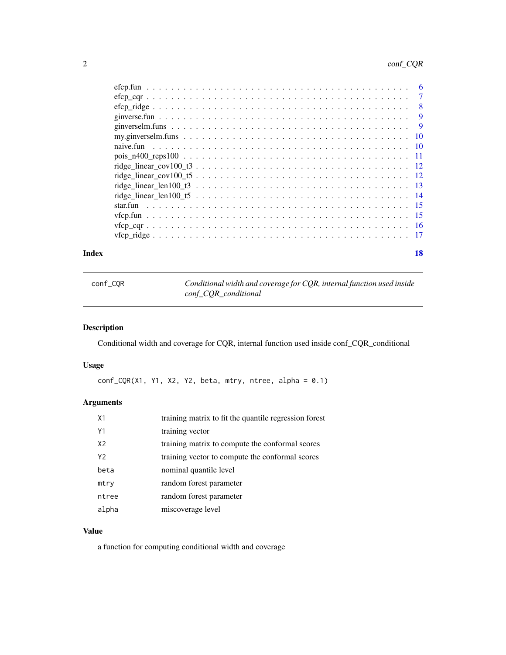# <span id="page-1-0"></span>2 conf\_CQR

|  | $\overline{7}$ |
|--|----------------|
|  | - 8            |
|  | 9              |
|  | - 9            |
|  |                |
|  |                |
|  |                |
|  |                |
|  |                |
|  |                |
|  |                |
|  |                |
|  |                |
|  |                |
|  |                |
|  |                |

#### **Index** 2008 **[18](#page-17-0)**

| conf_COR | Conditional width and coverage for CQR, internal function used inside |
|----------|-----------------------------------------------------------------------|
|          | conf COR conditional                                                  |

# Description

Conditional width and coverage for CQR, internal function used inside conf\_CQR\_conditional

# Usage

 $conf_CQR(X1, Y1, X2, Y2, beta, mtry, ntree, alpha =  $0.1$ )$ 

# Arguments

| X <sub>1</sub> | training matrix to fit the quantile regression forest |
|----------------|-------------------------------------------------------|
| Y1             | training vector                                       |
| X <sub>2</sub> | training matrix to compute the conformal scores       |
| Y2             | training vector to compute the conformal scores       |
| beta           | nominal quantile level                                |
| mtry           | random forest parameter                               |
| ntree          | random forest parameter                               |
| alpha          | miscoverage level                                     |

# Value

a function for computing conditional width and coverage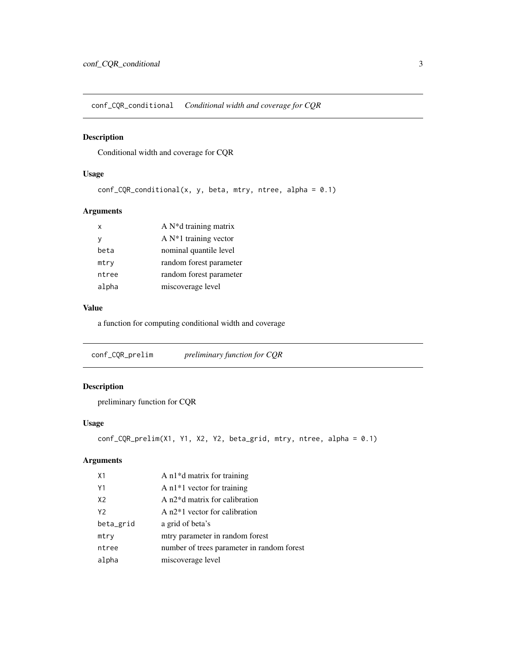<span id="page-2-0"></span>conf\_CQR\_conditional *Conditional width and coverage for CQR*

# Description

Conditional width and coverage for CQR

## Usage

```
conf_CQR\_conditional(x, y, beta, mtry, ntree, alpha = 0.1)
```
## Arguments

| $\mathsf{x}$ | A $N^*d$ training matrix |
|--------------|--------------------------|
| v            | A $N*1$ training vector  |
| beta         | nominal quantile level   |
| mtry         | random forest parameter  |
| ntree        | random forest parameter  |
| alpha        | miscoverage level        |

## Value

a function for computing conditional width and coverage

conf\_CQR\_prelim *preliminary function for CQR*

# Description

preliminary function for CQR

# Usage

```
conf_CQR_prelim(X1, Y1, X2, Y2, beta_grid, mtry, ntree, alpha = 0.1)
```

| X <sub>1</sub> | A $n1*d$ matrix for training               |
|----------------|--------------------------------------------|
| Y1             | A $n1*1$ vector for training               |
| X <sub>2</sub> | A n2 <sup>*</sup> d matrix for calibration |
| Y2             | A $n2*1$ vector for calibration            |
| beta_grid      | a grid of beta's                           |
| mtry           | mtry parameter in random forest            |
| ntree          | number of trees parameter in random forest |
| alpha          | miscoverage level                          |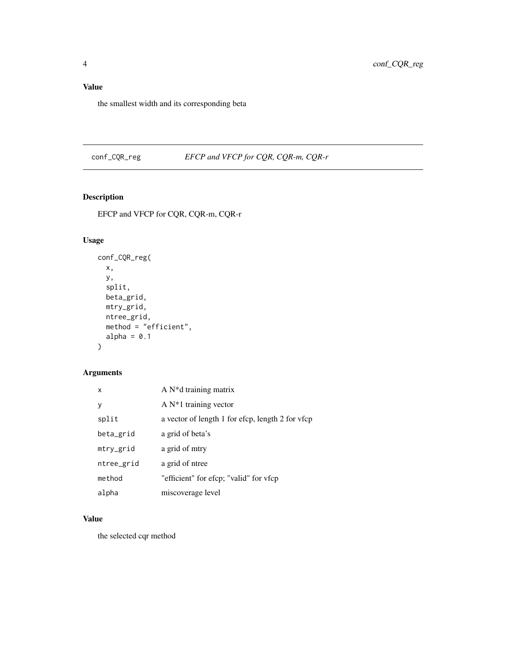# <span id="page-3-0"></span>Value

the smallest width and its corresponding beta

conf\_CQR\_reg *EFCP and VFCP for CQR, CQR-m, CQR-r*

# Description

EFCP and VFCP for CQR, CQR-m, CQR-r

# Usage

```
conf_CQR_reg(
  x,
  y,
  split,
  beta_grid,
  mtry_grid,
  ntree_grid,
  method = "efficient",
  alpha = 0.1\mathcal{L}
```
# Arguments

| x          | $A N^*d$ training matrix                         |
|------------|--------------------------------------------------|
| V          | A $N*1$ training vector                          |
| split      | a vector of length 1 for efcp, length 2 for vfcp |
| beta_grid  | a grid of beta's                                 |
| mtry_grid  | a grid of mtry                                   |
| ntree_grid | a grid of ntree                                  |
| method     | "efficient" for efcp; "valid" for vfcp           |
| alpha      | miscoverage level                                |

# Value

the selected cqr method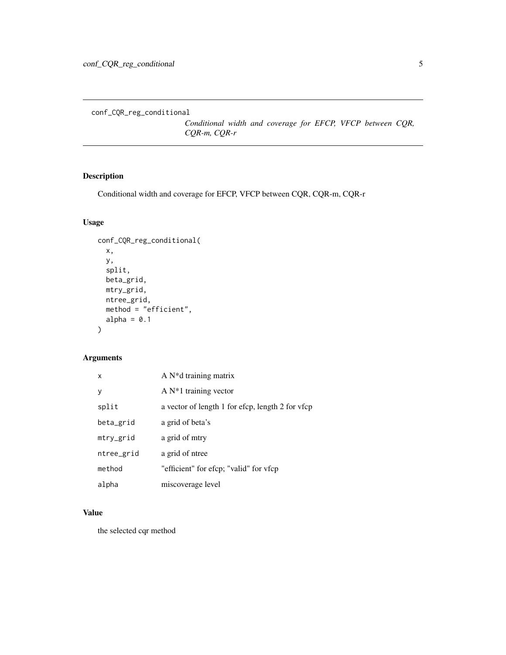<span id="page-4-0"></span>conf\_CQR\_reg\_conditional

*Conditional width and coverage for EFCP, VFCP between CQR, CQR-m, CQR-r*

# Description

Conditional width and coverage for EFCP, VFCP between CQR, CQR-m, CQR-r

# Usage

```
conf_CQR_reg_conditional(
 x,
 y,
  split,
 beta_grid,
 mtry_grid,
 ntree_grid,
 method = "efficient",
 alpha = 0.1)
```
# Arguments

| x          | A $N^*d$ training matrix                         |
|------------|--------------------------------------------------|
| V          | A $N*1$ training vector                          |
| split      | a vector of length 1 for efcp, length 2 for vfcp |
| beta_grid  | a grid of beta's                                 |
| mtry_grid  | a grid of mtry                                   |
| ntree_grid | a grid of ntree                                  |
| method     | "efficient" for efcp; "valid" for vfcp           |
| alpha      | miscoverage level                                |

## Value

the selected cqr method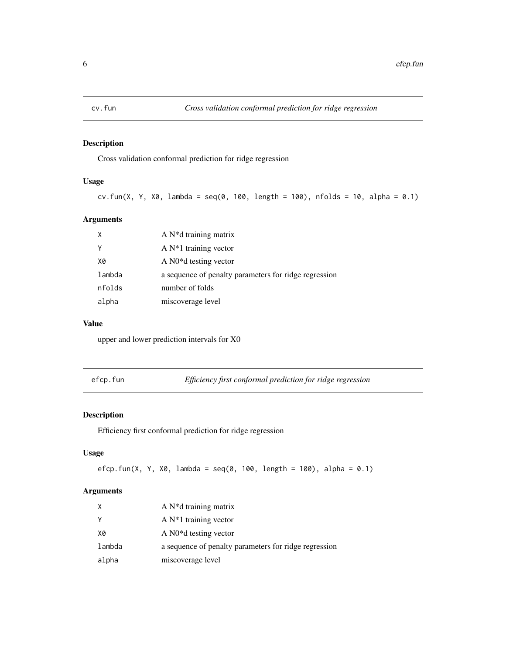<span id="page-5-0"></span>

Cross validation conformal prediction for ridge regression

# Usage

```
cv.fun(X, Y, X0, lambda = seq(0, 100, length = 100), nfolds = 10, alpha = 0.1)
```
## Arguments

| X      | A $N^*d$ training matrix                              |
|--------|-------------------------------------------------------|
| Y      | A $N*1$ training vector                               |
| X0     | A N <sub>0</sub> *d testing vector                    |
| lambda | a sequence of penalty parameters for ridge regression |
| nfolds | number of folds                                       |
| alpha  | miscoverage level                                     |

## Value

upper and lower prediction intervals for X0

efcp.fun *Efficiency first conformal prediction for ridge regression*

# Description

Efficiency first conformal prediction for ridge regression

# Usage

```
efcp.fun(X, Y, X0, lambda = seq(0, 100, length = 100), alpha = 0.1)
```

| X      | A $N^*d$ training matrix                              |
|--------|-------------------------------------------------------|
| Y      | A $N*1$ training vector                               |
| X0     | A $N0^*d$ testing vector                              |
| lambda | a sequence of penalty parameters for ridge regression |
| alpha  | miscoverage level                                     |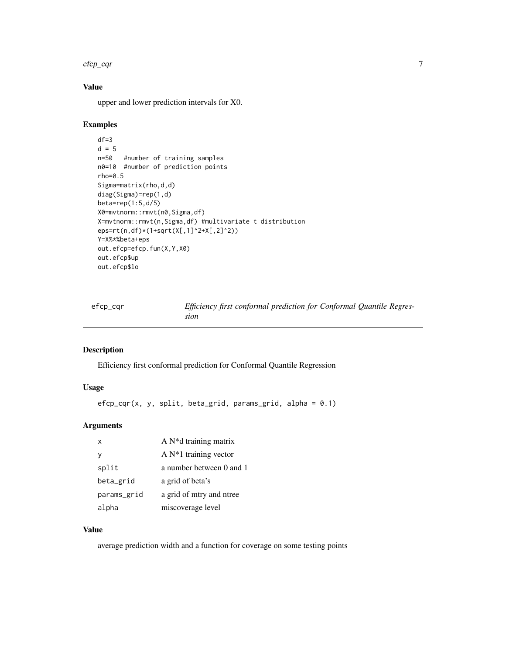#### <span id="page-6-0"></span> $e$ fcp\_cqr  $\frac{7}{2}$

# Value

upper and lower prediction intervals for X0.

## Examples

```
df=3d = 5n=50 #number of training samples
n0=10 #number of prediction points
rho=0.5
Sigma=matrix(rho,d,d)
diag(Sigma)=rep(1,d)
beta=rep(1:5,d/5)
X0=mvtnorm::rmvt(n0,Sigma,df)
X=mvtnorm::rmvt(n,Sigma,df) #multivariate t distribution
eps=rt(n,df)*(1+sqrt(X[,1]^2+X[,2]^2))
Y=X%*%beta+eps
out.efcp=efcp.fun(X,Y,X0)
out.efcp$up
out.efcp$lo
```

| efcp_cqr | Efficiency first conformal prediction for Conformal Quantile Regres- |  |
|----------|----------------------------------------------------------------------|--|
|          | sion                                                                 |  |

# Description

Efficiency first conformal prediction for Conformal Quantile Regression

# Usage

```
efcp_cqr(x, y, split, beta_grid, params_grid, alpha = 0.1)
```
# Arguments

| $\times$    | A $N^*d$ training matrix |
|-------------|--------------------------|
|             | A $N*1$ training vector  |
| split       | a number between 0 and 1 |
| beta_grid   | a grid of beta's         |
| params_grid | a grid of mtry and ntree |
| alpha       | miscoverage level        |

# Value

average prediction width and a function for coverage on some testing points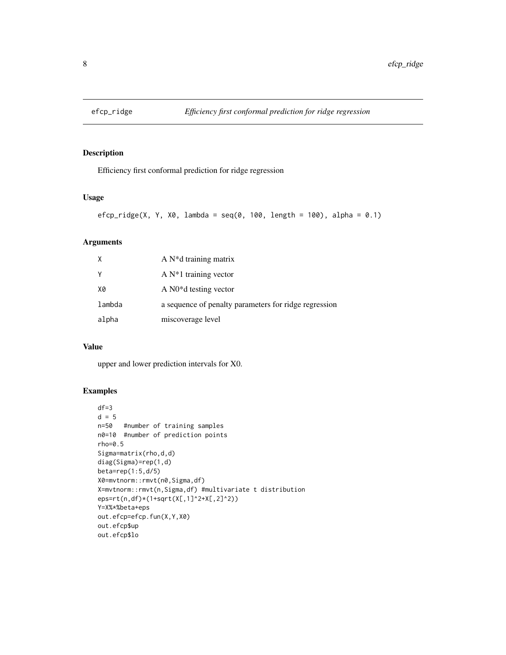<span id="page-7-0"></span>

Efficiency first conformal prediction for ridge regression

## Usage

```
efcp_ridge(X, Y, X0, lambda = seq(0, 100, length = 100), alpha = 0.1)
```
# Arguments

| X      | A $N^*d$ training matrix                              |
|--------|-------------------------------------------------------|
| Υ      | A $N*1$ training vector                               |
| X0     | A $N0^*d$ testing vector                              |
| lambda | a sequence of penalty parameters for ridge regression |
| alpha  | miscoverage level                                     |

# Value

upper and lower prediction intervals for X0.

# Examples

```
df=3d = 5n=50 #number of training samples
n0=10 #number of prediction points
rho=0.5
Sigma=matrix(rho,d,d)
diag(Sigma)=rep(1,d)
beta=rep(1:5,d/5)
X0=mvtnorm::rmvt(n0,Sigma,df)
X=mvtnorm::rmvt(n,Sigma,df) #multivariate t distribution
eps=rt(n,df)*(1+sqrt(X[,1]^2+X[,2]^2))
Y=X%*%beta+eps
out.efcp=efcp.fun(X,Y,X0)
out.efcp$up
out.efcp$lo
```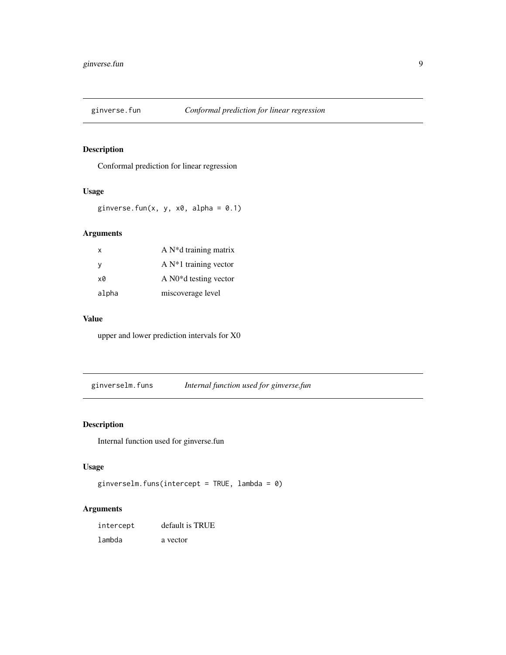<span id="page-8-0"></span>

Conformal prediction for linear regression

## Usage

ginverse.fun(x, y,  $x0$ , alpha = 0.1)

# Arguments

| x     | A $N^*d$ training matrix |
|-------|--------------------------|
| y     | A $N*1$ training vector  |
| xØ    | A $N0^*d$ testing vector |
| alpha | miscoverage level        |

# Value

upper and lower prediction intervals for X0

ginverselm.funs *Internal function used for ginverse.fun*

# Description

Internal function used for ginverse.fun

# Usage

```
ginverselm.funs(intercept = TRUE, lambda = 0)
```

| intercept | default is TRUE |
|-----------|-----------------|
| lambda    | a vector        |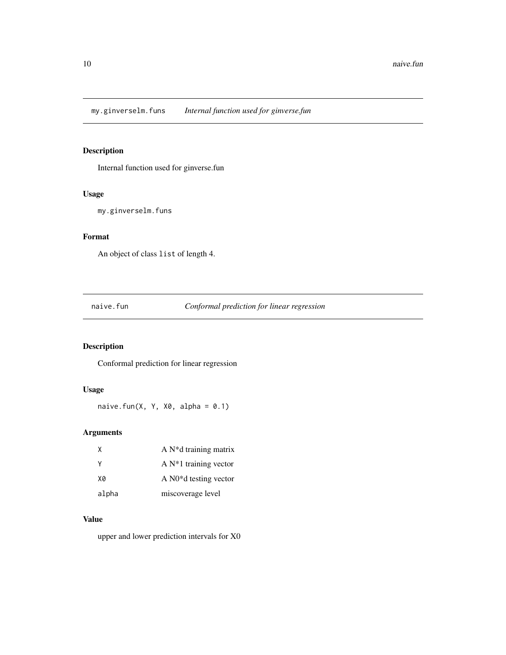<span id="page-9-0"></span>my.ginverselm.funs *Internal function used for ginverse.fun*

# Description

Internal function used for ginverse.fun

# Usage

my.ginverselm.funs

# Format

An object of class list of length 4.

naive.fun *Conformal prediction for linear regression*

# Description

Conformal prediction for linear regression

# Usage

naive.fun(X, Y, X0, alpha =  $0.1$ )

# Arguments

| χ     | A $N^*d$ training matrix           |
|-------|------------------------------------|
| γ     | A $N*1$ training vector            |
| X0    | A N <sub>0</sub> *d testing vector |
| alpha | miscoverage level                  |

# Value

upper and lower prediction intervals for X0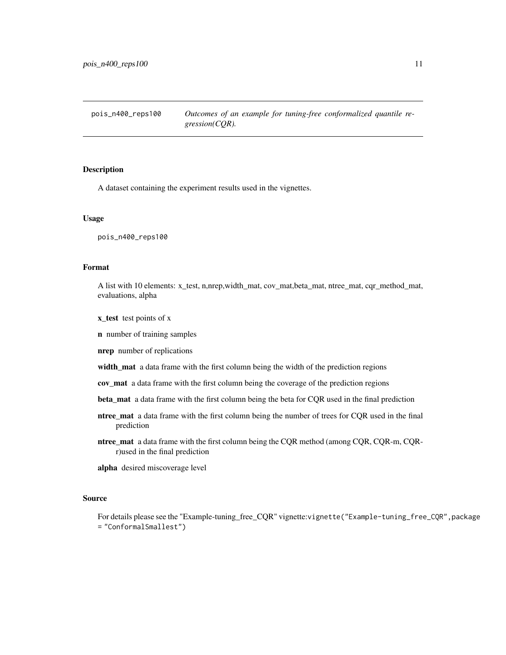<span id="page-10-0"></span>pois\_n400\_reps100 *Outcomes of an example for tuning-free conformalized quantile regression(CQR).*

## Description

A dataset containing the experiment results used in the vignettes.

#### Usage

pois\_n400\_reps100

## Format

A list with 10 elements: x\_test, n,nrep,width\_mat, cov\_mat,beta\_mat, ntree\_mat, cqr\_method\_mat, evaluations, alpha

x\_test test points of x

n number of training samples

nrep number of replications

width\_mat a data frame with the first column being the width of the prediction regions

cov\_mat a data frame with the first column being the coverage of the prediction regions

- beta\_mat a data frame with the first column being the beta for CQR used in the final prediction
- ntree\_mat a data frame with the first column being the number of trees for CQR used in the final prediction
- ntree\_mat a data frame with the first column being the CQR method (among CQR, CQR-m, CQRr)used in the final prediction

alpha desired miscoverage level

#### Source

For details please see the "Example-tuning\_free\_CQR" vignette:vignette("Example-tuning\_free\_CQR",package = "ConformalSmallest")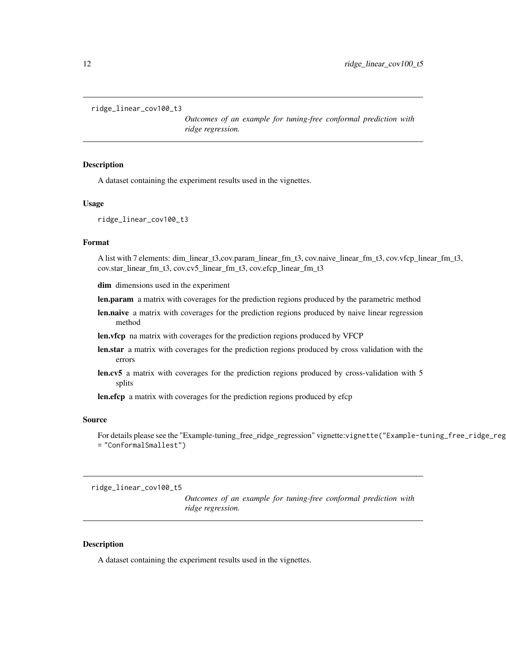```
ridge_linear_cov100_t3
```
*Outcomes of an example for tuning-free conformal prediction with ridge regression.*

# **Description**

A dataset containing the experiment results used in the vignettes.

## Usage

```
ridge_linear_cov100_t3
```
#### Format

A list with 7 elements: dim\_linear\_t3,cov.param\_linear\_fm\_t3, cov.naive\_linear\_fm\_t3, cov.vfcp\_linear\_fm\_t3, cov.star\_linear\_fm\_t3, cov.cv5\_linear\_fm\_t3, cov.efcp\_linear\_fm\_t3

dim dimensions used in the experiment

- len.param a matrix with coverages for the prediction regions produced by the parametric method
- len.naive a matrix with coverages for the prediction regions produced by naive linear regression method
- len.vfcp na matrix with coverages for the prediction regions produced by VFCP
- len.star a matrix with coverages for the prediction regions produced by cross validation with the errors
- len.cv5 a matrix with coverages for the prediction regions produced by cross-validation with 5 splits
- len.efcp a matrix with coverages for the prediction regions produced by efcp

#### Source

For details please see the "Example-tuning\_free\_ridge\_regression" vignette:vignette("Example-tuning\_free\_ridge\_reg = "ConformalSmallest")

ridge\_linear\_cov100\_t5

*Outcomes of an example for tuning-free conformal prediction with ridge regression.*

#### Description

A dataset containing the experiment results used in the vignettes.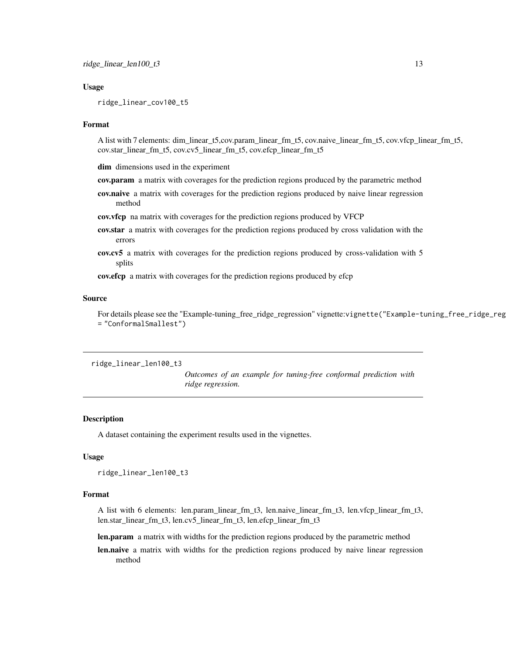## <span id="page-12-0"></span>Usage

ridge\_linear\_cov100\_t5

#### Format

A list with 7 elements: dim\_linear\_t5,cov.param\_linear\_fm\_t5, cov.naive\_linear\_fm\_t5, cov.vfcp\_linear\_fm\_t5, cov.star\_linear\_fm\_t5, cov.cv5\_linear\_fm\_t5, cov.efcp\_linear\_fm\_t5

dim dimensions used in the experiment

- cov.param a matrix with coverages for the prediction regions produced by the parametric method
- cov.naive a matrix with coverages for the prediction regions produced by naive linear regression method

cov.vfcp na matrix with coverages for the prediction regions produced by VFCP

- cov.star a matrix with coverages for the prediction regions produced by cross validation with the errors
- cov.cv5 a matrix with coverages for the prediction regions produced by cross-validation with 5 splits

cov.efcp a matrix with coverages for the prediction regions produced by efcp

#### Source

For details please see the "Example-tuning\_free\_ridge\_regression" vignette:vignette("Example-tuning\_free\_ridge\_reg = "ConformalSmallest")

ridge\_linear\_len100\_t3

*Outcomes of an example for tuning-free conformal prediction with ridge regression.*

#### **Description**

A dataset containing the experiment results used in the vignettes.

#### Usage

```
ridge_linear_len100_t3
```
#### Format

A list with 6 elements: len.param\_linear\_fm\_t3, len.naive\_linear\_fm\_t3, len.vfcp\_linear\_fm\_t3, len.star\_linear\_fm\_t3, len.cv5\_linear\_fm\_t3, len.efcp\_linear\_fm\_t3

len.param a matrix with widths for the prediction regions produced by the parametric method

len.naive a matrix with widths for the prediction regions produced by naive linear regression method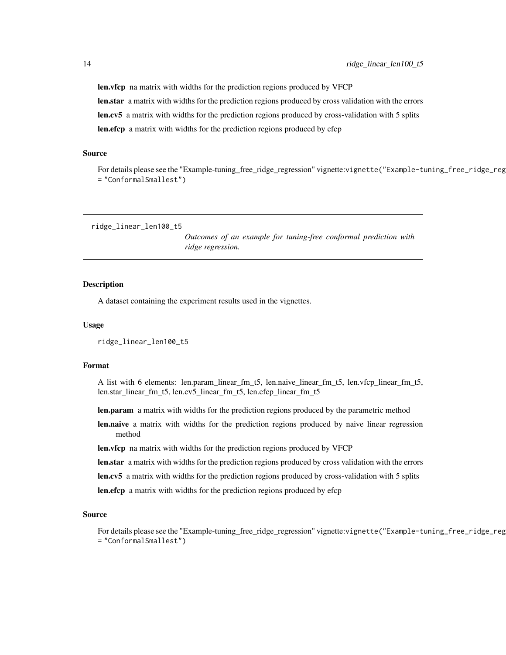len.vfcp na matrix with widths for the prediction regions produced by VFCP len.star a matrix with widths for the prediction regions produced by cross validation with the errors len.cv5 a matrix with widths for the prediction regions produced by cross-validation with 5 splits len.efcp a matrix with widths for the prediction regions produced by efcp

#### Source

For details please see the "Example-tuning\_free\_ridge\_regression" vignette:vignette("Example-tuning\_free\_ridge\_reg = "ConformalSmallest")

ridge\_linear\_len100\_t5

*Outcomes of an example for tuning-free conformal prediction with ridge regression.*

#### Description

A dataset containing the experiment results used in the vignettes.

#### Usage

ridge\_linear\_len100\_t5

#### Format

A list with 6 elements: len.param\_linear\_fm\_t5, len.naive\_linear\_fm\_t5, len.vfcp\_linear\_fm\_t5, len.star\_linear\_fm\_t5, len.cv5\_linear\_fm\_t5, len.efcp\_linear\_fm\_t5

len.param a matrix with widths for the prediction regions produced by the parametric method

len.naive a matrix with widths for the prediction regions produced by naive linear regression method

len.vfcp na matrix with widths for the prediction regions produced by VFCP

len.star a matrix with widths for the prediction regions produced by cross validation with the errors

len.cv5 a matrix with widths for the prediction regions produced by cross-validation with 5 splits

len.efcp a matrix with widths for the prediction regions produced by efcp

#### Source

For details please see the "Example-tuning\_free\_ridge\_regression" vignette:vignette("Example-tuning\_free\_ridge\_reg = "ConformalSmallest")

<span id="page-13-0"></span>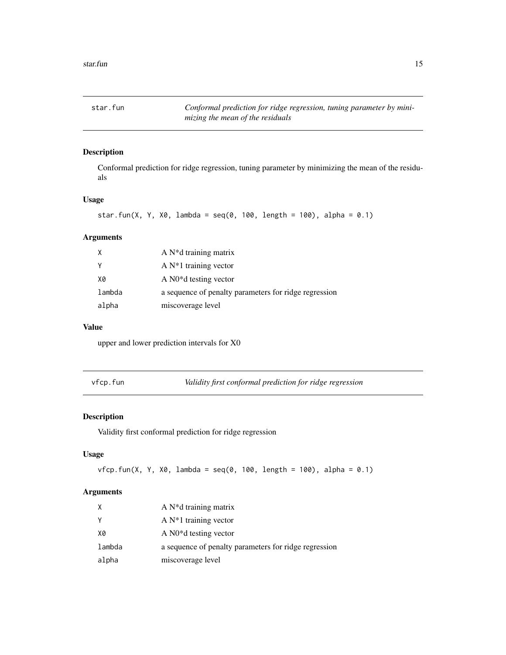<span id="page-14-0"></span>star.fun *Conformal prediction for ridge regression, tuning parameter by minimizing the mean of the residuals*

# Description

Conformal prediction for ridge regression, tuning parameter by minimizing the mean of the residuals

# Usage

```
star.fun(X, Y, X0, lambda = seq(0, 100, length = 100), alpha = 0.1)
```
## Arguments

| Χ      | A $N^*d$ training matrix                              |
|--------|-------------------------------------------------------|
| Y      | A $N*1$ training vector                               |
| X0     | A $N0^*d$ testing vector                              |
| lambda | a sequence of penalty parameters for ridge regression |
| alpha  | miscoverage level                                     |

## Value

upper and lower prediction intervals for X0

vfcp.fun *Validity first conformal prediction for ridge regression*

# Description

Validity first conformal prediction for ridge regression

# Usage

```
vfcp.fun(X, Y, X0, lambda = seq(0, 100, length = 100), alpha = 0.1)
```

| X      | A $N^*d$ training matrix                              |
|--------|-------------------------------------------------------|
| Y      | A $N*1$ training vector                               |
| X0     | A $N0^*d$ testing vector                              |
| lambda | a sequence of penalty parameters for ridge regression |
| alpha  | miscoverage level                                     |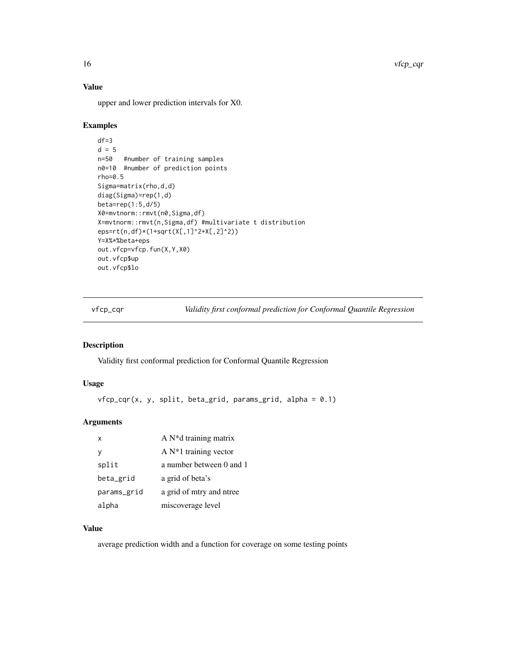# Value

upper and lower prediction intervals for X0.

### Examples

```
df=3
d = 5n=50 #number of training samples
n0=10 #number of prediction points
rho=0.5
Sigma=matrix(rho,d,d)
diag(Sigma)=rep(1,d)
beta=rep(1:5,d/5)
X0=mvtnorm::rmvt(n0,Sigma,df)
X=mvtnorm::rmvt(n,Sigma,df) #multivariate t distribution
eps=rt(n,df)*(1+sqrt(X[,1]^2+X[,2]^2))
Y=X%*%beta+eps
out.vfcp=vfcp.fun(X,Y,X0)
out.vfcp$up
out.vfcp$lo
```
vfcp\_cqr *Validity first conformal prediction for Conformal Quantile Regression*

# Description

Validity first conformal prediction for Conformal Quantile Regression

#### Usage

```
vfcp_cqr(x, y, split, beta_grid, params_grid, alpha = 0.1)
```
# Arguments

| $\mathsf{x}$ | A $N^*d$ training matrix |
|--------------|--------------------------|
| ٧            | A $N*1$ training vector  |
| split        | a number between 0 and 1 |
| beta_grid    | a grid of beta's         |
| params_grid  | a grid of mtry and ntree |
| alpha        | miscoverage level        |

# Value

average prediction width and a function for coverage on some testing points

<span id="page-15-0"></span>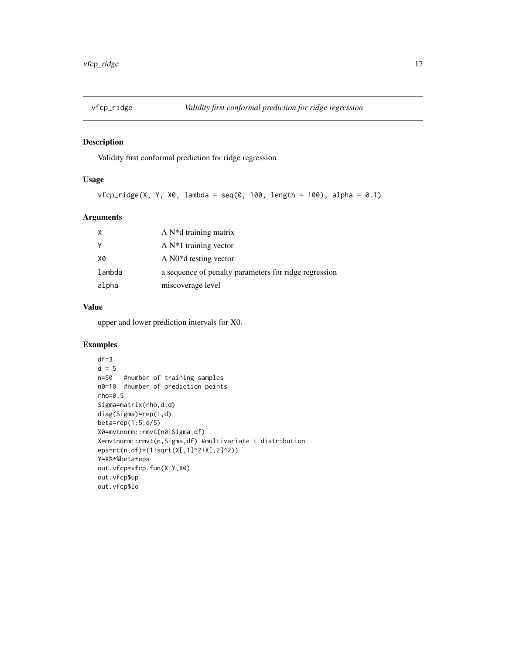<span id="page-16-0"></span>

Validity first conformal prediction for ridge regression

# Usage

```
vfcp\_ridge(X, Y, X0, lambda = seq(0, 100, length = 100), alpha = 0.1)
```
# Arguments

| X      | A $N^*d$ training matrix                              |
|--------|-------------------------------------------------------|
| Y      | A $N*1$ training vector                               |
| X0     | A $N0^*d$ testing vector                              |
| lambda | a sequence of penalty parameters for ridge regression |
| alpha  | miscoverage level                                     |

#### Value

upper and lower prediction intervals for X0.

## Examples

```
df=3
d = 5n=50 #number of training samples
n0=10 #number of prediction points
rho=0.5
Sigma=matrix(rho,d,d)
diag(Sigma)=rep(1,d)
beta=rep(1:5,d/5)
X0=mvtnorm::rmvt(n0,Sigma,df)
X=mvtnorm::rmvt(n,Sigma,df) #multivariate t distribution
eps=rt(n,df)*(1+sqrt(X[,1]^2+X[,2]^2))
Y=X%*%beta+eps
out.vfcp=vfcp.fun(X,Y,X0)
out.vfcp$up
out.vfcp$lo
```